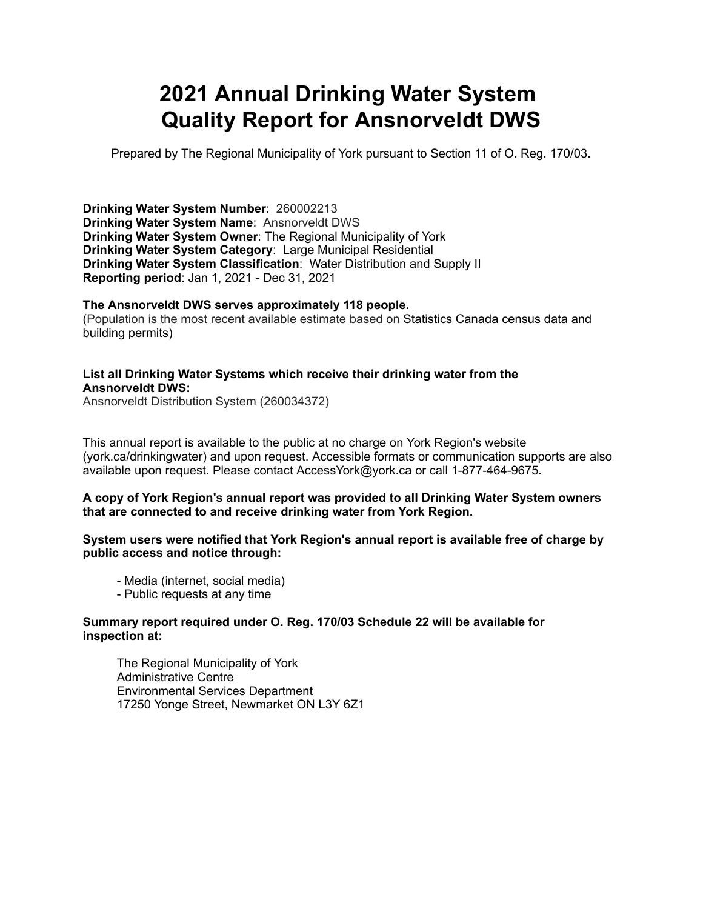# **2021 Annual Drinking Water System Quality Report for Ansnorveldt DWS**

Prepared by The Regional Municipality of York pursuant to Section 11 of O. Reg. 170/03.

**Drinking Water System Number**: 260002213 **Drinking Water System Name**: Ansnorveldt DWS **Drinking Water System Owner**: The Regional Municipality of York **Drinking Water System Category**: Large Municipal Residential **Drinking Water System Classification**: Water Distribution and Supply II **Reporting period**: Jan 1, 2021 - Dec 31, 2021

#### **The Ansnorveldt DWS serves approximately 118 people.**

(Population is the most recent available estimate based on Statistics Canada census data and building permits)

#### **List all Drinking Water Systems which receive their drinking water from the Ansnorveldt DWS:**

Ansnorveldt Distribution System (260034372)

 This annual report is available to the public at no charge on York Region's website (york.ca/drinkingwater) and upon request. Accessible formats or communication supports are also available upon request. Please contact [AccessYork@york.ca](mailto:AccessYork@york.ca) or call 1-877-464-9675.

#### **A copy of York Region's annual report was provided to all Drinking Water System owners that are connected to and receive drinking water from York Region.**

#### **System users were notified that York Region's annual report is available free of charge by public access and notice through:**

- Media (internet, social media)
- Public requests at any time

#### **Summary report required under O. Reg. 170/03 Schedule 22 will be available for inspection at:**

The Regional Municipality of York Administrative Centre Environmental Services Department 17250 Yonge Street, Newmarket ON L3Y 6Z1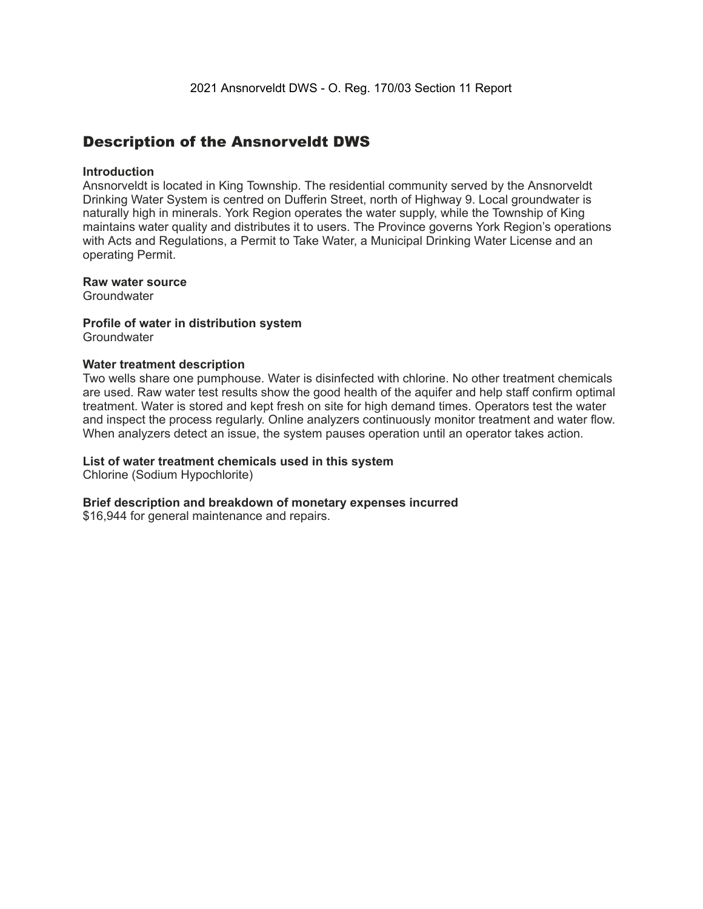### Description of the Ansnorveldt DWS

#### **Introduction**

Ansnorveldt is located in King Township. The residential community served by the Ansnorveldt Drinking Water System is centred on Dufferin Street, north of Highway 9. Local groundwater is naturally high in minerals. York Region operates the water supply, while the Township of King maintains water quality and distributes it to users. The Province governs York Region's operations with Acts and Regulations, a Permit to Take Water, a Municipal Drinking Water License and an operating Permit.

#### **Raw water source**

**Groundwater** 

## **Profile of water in distribution system**

**Groundwater** 

#### **Water treatment description**

Two wells share one pumphouse. Water is disinfected with chlorine. No other treatment chemicals are used. Raw water test results show the good health of the aquifer and help staff confirm optimal treatment. Water is stored and kept fresh on site for high demand times. Operators test the water and inspect the process regularly. Online analyzers continuously monitor treatment and water flow. When analyzers detect an issue, the system pauses operation until an operator takes action.

#### **List of water treatment chemicals used in this system**

Chlorine (Sodium Hypochlorite)

#### **Brief description and breakdown of monetary expenses incurred**

\$16,944 for general maintenance and repairs.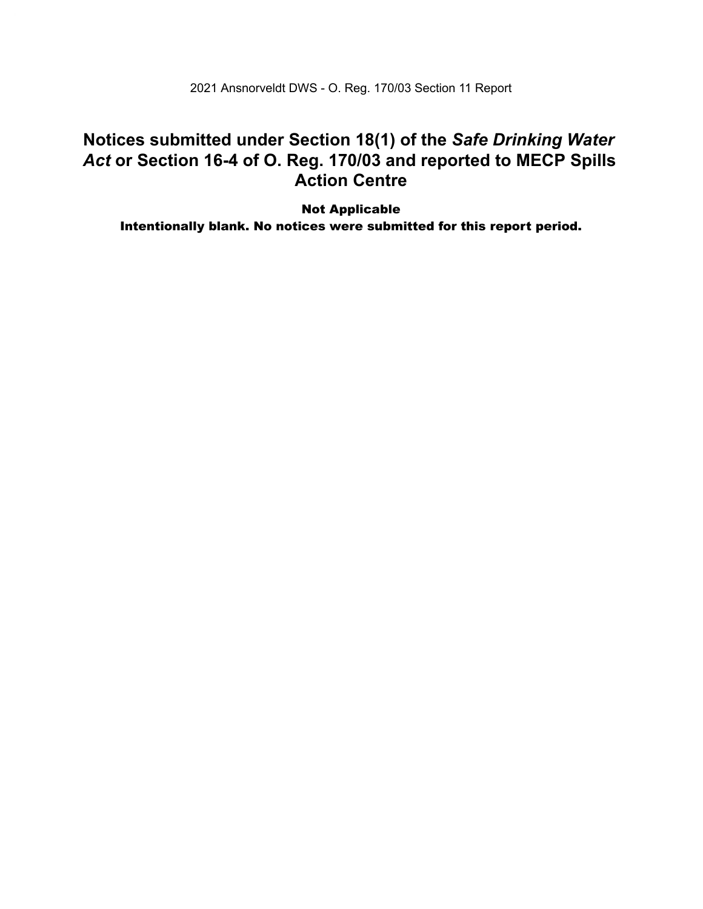2021 Ansnorveldt DWS - O. Reg. 170/03 Section 11 Report

### **Notices submitted under Section 18(1) of the** *Safe Drinking Water*  *Act* **or Section 16-4 of O. Reg. 170/03 and reported to MECP Spills Action Centre**

Intentionally Parameter Incident any  $\mathbb{R}^n$ Result corrective Action Corrective Action Corrective Action Corrective Action Corrective Action Corrective Action Co Intentionally blank. No notices were submitted for this report period. Not Applicable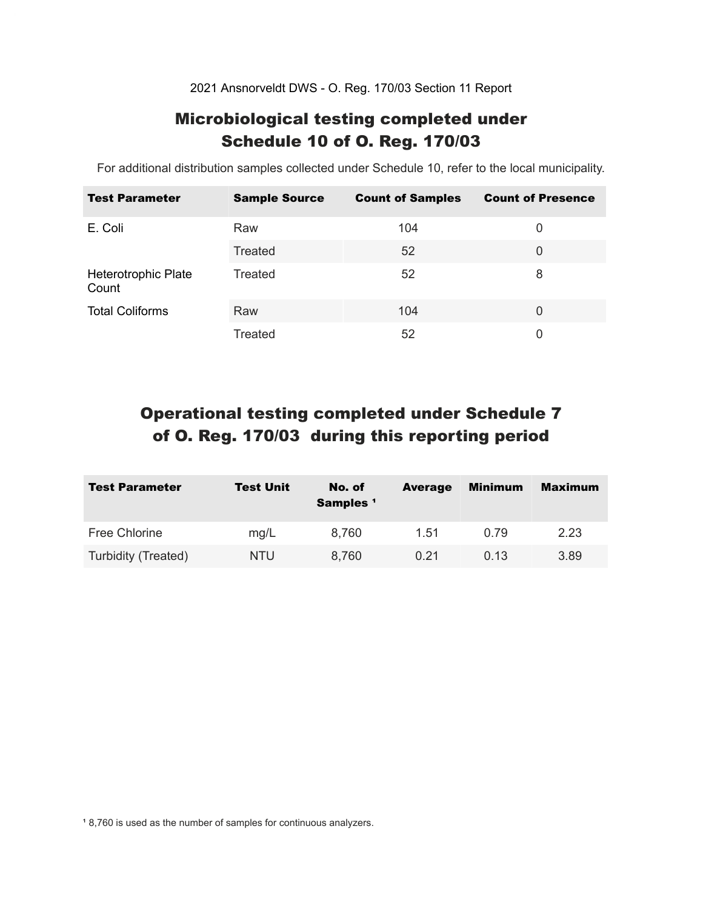2021 Ansnorveldt DWS - O. Reg. 170/03 Section 11 Report

### Microbiological testing completed under Schedule 10 of O. Reg. 170/03

For additional distribution samples collected under Schedule 10, refer to the local municipality.

| <b>Test Parameter</b>        | <b>Sample Source</b> | <b>Count of Samples</b> | <b>Count of Presence</b> |
|------------------------------|----------------------|-------------------------|--------------------------|
| E. Coli                      | Raw                  | 104                     | 0                        |
|                              | Treated              | 52                      | 0                        |
| Heterotrophic Plate<br>Count | Treated              | 52                      | 8                        |
| <b>Total Coliforms</b>       | Raw                  | 104                     | $\Omega$                 |
|                              | Treated              | 52                      | 0                        |

### Operational testing completed under Schedule 7 of O. Reg. 170/03 during this reporting period

| <b>Test Parameter</b> | <b>Test Unit</b> | No. of<br>Samples <sup>1</sup> | <b>Average</b> | <b>Minimum</b> | <b>Maximum</b> |
|-----------------------|------------------|--------------------------------|----------------|----------------|----------------|
| <b>Free Chlorine</b>  | mg/L             | 8.760                          | 1.51           | 0.79           | 2.23           |
| Turbidity (Treated)   | NTU              | 8,760                          | 0.21           | 0.13           | 3.89           |

18,760 is used as the number of samples for continuous analyzers.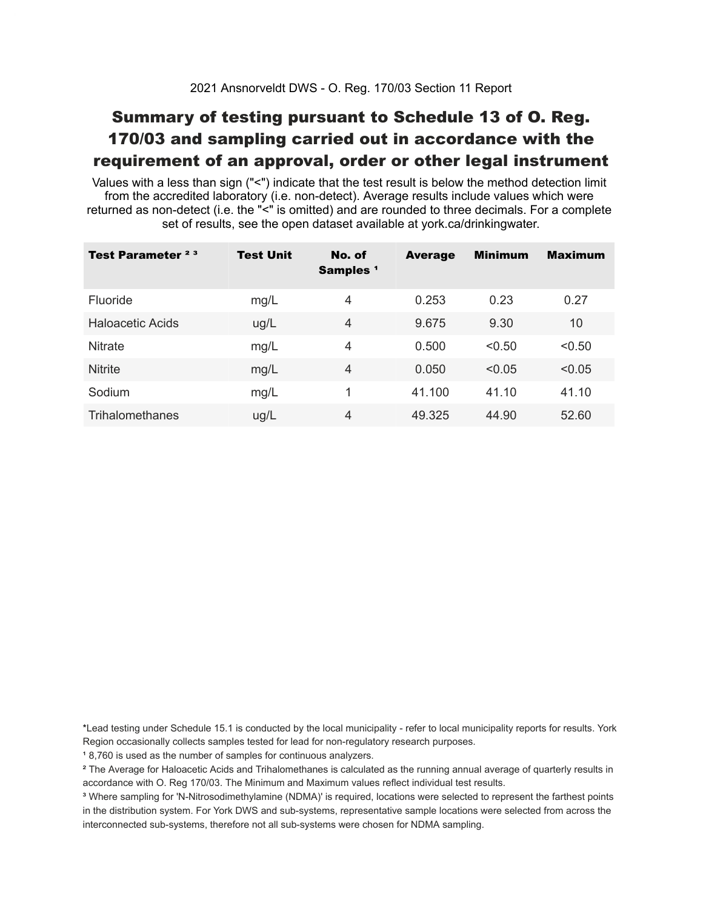### Summary of testing pursuant to Schedule 13 of O. Reg. 170/03 and sampling carried out in accordance with the requirement of an approval, order or other legal instrument

 Values with a less than sign ("<") indicate that the test result is below the method detection limit from the accredited laboratory (i.e. non-detect). Average results include values which were returned as non-detect (i.e. the "<" is omitted) and are rounded to three decimals. For a complete set of results, see the open dataset available at york.ca/drinkingwater.

| Test Parameter <sup>23</sup> | <b>Test Unit</b> | No. of<br>Samples <sup>1</sup> | <b>Average</b> | <b>Minimum</b> | <b>Maximum</b> |
|------------------------------|------------------|--------------------------------|----------------|----------------|----------------|
| Fluoride                     | mg/L             | 4                              | 0.253          | 0.23           | 0.27           |
| Haloacetic Acids             | ug/L             | $\overline{4}$                 | 9.675          | 9.30           | 10             |
| <b>Nitrate</b>               | mg/L             | 4                              | 0.500          | < 0.50         | < 0.50         |
| <b>Nitrite</b>               | mg/L             | $\overline{4}$                 | 0.050          | < 0.05         | < 0.05         |
| Sodium                       | mg/L             | 1                              | 41.100         | 41.10          | 41.10          |
| Trihalomethanes              | ug/L             | $\overline{4}$                 | 49.325         | 44.90          | 52.60          |

 \*Lead testing under Schedule 15.1 is conducted by the local municipality - refer to local municipality reports for results. York Region occasionally collects samples tested for lead for non-regulatory research purposes.

<sup>1</sup>8,760 is used as the number of samples for continuous analyzers.

 $\mathrm{^2}$  The Average for Haloacetic Acids and Trihalomethanes is calculated as the running annual average of quarterly results in accordance with O. Reg 170/03. The Minimum and Maximum values reflect individual test results.

<sup>3</sup> Where sampling for 'N-Nitrosodimethylamine (NDMA)' is required, locations were selected to represent the farthest points in the distribution system. For York DWS and sub-systems, representative sample locations were selected from across the interconnected sub-systems, therefore not all sub-systems were chosen for NDMA sampling.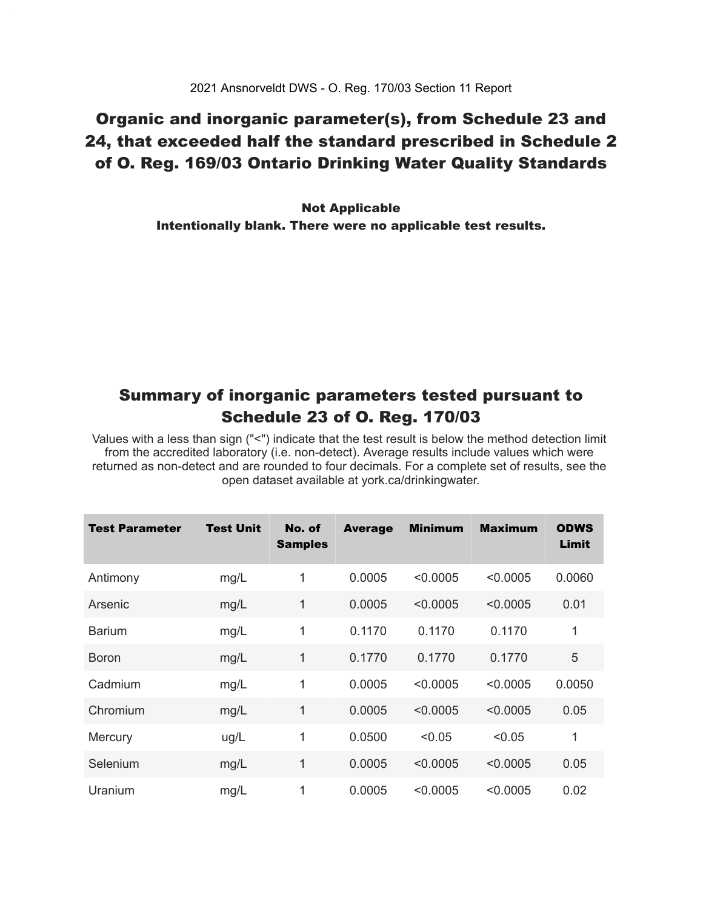### Organic and inorganic parameter(s), from Schedule 23 and 24, that exceeded half the standard prescribed in Schedule 2 of O. Reg. 169/03 Ontario Drinking Water Quality Standards

 Intentionally blank. There were no applicable test results. Not Applicable

### Summary of inorganic parameters tested pursuant to Schedule 23 of O. Reg. 170/03

 Values with a less than sign ("<") indicate that the test result is below the method detection limit from the accredited laboratory (i.e. non-detect). Average results include values which were returned as non-detect and are rounded to four decimals. For a complete set of results, see the open dataset available at york.ca/drinkingwater.

| Test Parameter | <b>Test Unit</b> | No. of<br><b>Samples</b> | <b>Average</b> | <b>Minimum</b> | <b>Maximum</b> | <b>ODWS</b><br>Limit |
|----------------|------------------|--------------------------|----------------|----------------|----------------|----------------------|
| Antimony       | mg/L             | 1                        | 0.0005         | < 0.0005       | < 0.0005       | 0.0060               |
| Arsenic        | mg/L             | 1                        | 0.0005         | < 0.0005       | < 0.0005       | 0.01                 |
| <b>Barium</b>  | mg/L             | 1                        | 0.1170         | 0.1170         | 0.1170         | 1                    |
| <b>Boron</b>   | mg/L             | 1                        | 0.1770         | 0.1770         | 0.1770         | 5                    |
| Cadmium        | mg/L             | 1                        | 0.0005         | < 0.0005       | < 0.0005       | 0.0050               |
| Chromium       | mg/L             | 1                        | 0.0005         | < 0.0005       | < 0.0005       | 0.05                 |
| Mercury        | ug/L             | 1                        | 0.0500         | < 0.05         | < 0.05         | 1                    |
| Selenium       | mg/L             | 1                        | 0.0005         | < 0.0005       | < 0.0005       | 0.05                 |
| Uranium        | mg/L             | 1                        | 0.0005         | < 0.0005       | < 0.0005       | 0.02                 |